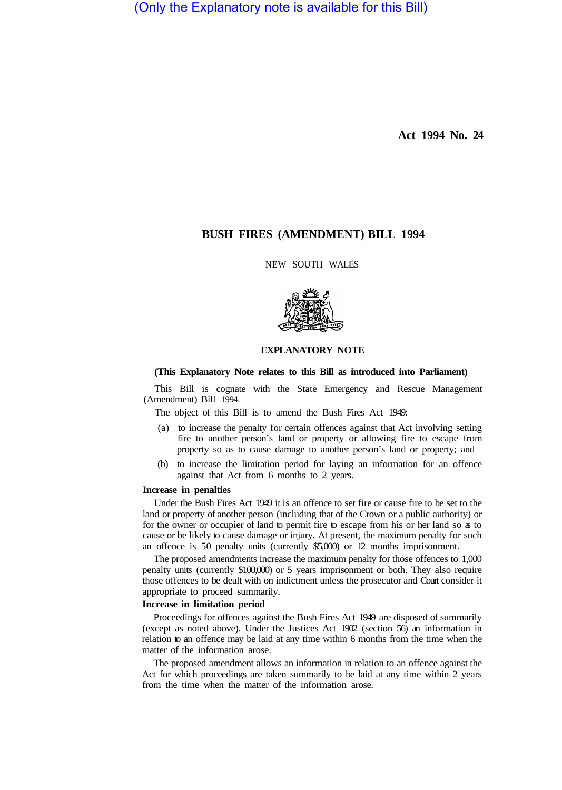(Only the Explanatory note is available for this Bill)

**Act 1994 No. 24** 

# **BUSH FIRES (AMENDMENT) BILL 1994**

NEW SOUTH WALES



### **EXPLANATORY NOTE**

#### **(This Explanatory Note relates to this Bill as introduced into Parliament)**

This Bill is cognate with the State Emergency and Rescue Management (Amendment) Bill 1994.

The object of this Bill is to amend the Bush Fires Act 1949:

- (a) to increase the penalty for certain offences against that Act involving setting fire to another person's land or property or allowing fire to escape from property so as to cause damage to another person's land or property; and
- (b) to increase the limitation period for laying an information for an offence against that Act from 6 months to 2 years.

# **Increase in penalties**

Under the Bush Fires Act 1949 it is an offence to set fire or cause fire to be set to the land or property of another person (including that of the Crown or a public authority) or for the owner or occupier of land to permit fire to escape from his or her land so as to cause or be likely to cause damage or injury. At present, the maximum penalty for such an offence is 50 penalty units (currently \$5,000) or 12 months imprisonment.

The proposed amendments increase the maximum penalty for those offences to 1,000 penalty units (currently \$100,000) or 5 years imprisonment or both. They also require those offences to be dealt with on indictment unless the prosecutor and Court consider it appropriate to proceed summarily.

### **Increase in limitation period**

Proceedings for offences against the Bush Fires Act 1949 are disposed of summarily (except as noted above). Under the Justices Act 1902 (section 56) an information in relation to an offence may be laid at any time within 6 months from the time when the matter of the information arose.

The proposed amendment allows an information in relation to an offence against the Act for which proceedings are taken summarily to be laid at any time within 2 years from the time when the matter of the information arose.